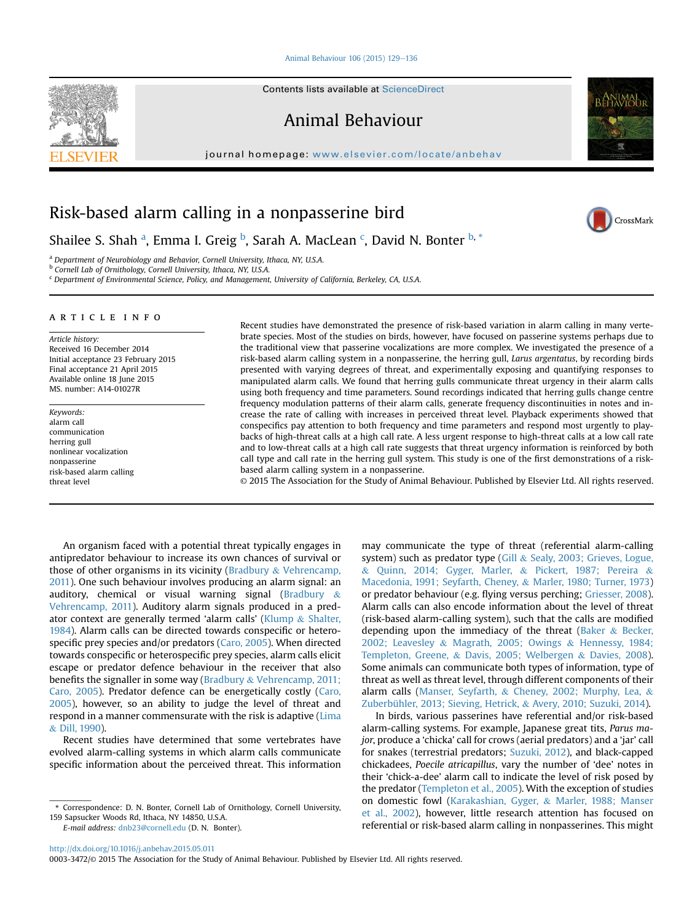#### [Animal Behaviour 106 \(2015\) 129](http://dx.doi.org/10.1016/j.anbehav.2015.05.011)-[136](http://dx.doi.org/10.1016/j.anbehav.2015.05.011)

Contents lists available at ScienceDirect

Animal Behaviour

journal homepage: [www.elsevier.com/locate/anbehav](http://www.elsevier.com/locate/anbehav)

# Risk-based alarm calling in a nonpasserine bird

Shailee S. Shah <sup>a</sup>, Emma I. Greig <sup>b</sup>, Sarah A. MacLean <sup>c</sup>, David N. Bonter <sup>b, \*</sup>

<sup>a</sup> Department of Neurobiology and Behavior, Cornell University, Ithaca, NY, U.S.A.

**b** Cornell Lab of Ornithology, Cornell University, Ithaca, NY, U.S.A.

<sup>c</sup> Department of Environmental Science, Policy, and Management, University of California, Berkeley, CA, U.S.A.

#### article info

Article history: Received 16 December 2014 Initial acceptance 23 February 2015 Final acceptance 21 April 2015 Available online 18 June 2015 MS. number: A14-01027R

Keywords: alarm call communication herring gull nonlinear vocalization nonpasserine risk-based alarm calling threat level

Recent studies have demonstrated the presence of risk-based variation in alarm calling in many vertebrate species. Most of the studies on birds, however, have focused on passerine systems perhaps due to the traditional view that passerine vocalizations are more complex. We investigated the presence of a risk-based alarm calling system in a nonpasserine, the herring gull, Larus argentatus, by recording birds presented with varying degrees of threat, and experimentally exposing and quantifying responses to manipulated alarm calls. We found that herring gulls communicate threat urgency in their alarm calls using both frequency and time parameters. Sound recordings indicated that herring gulls change centre frequency modulation patterns of their alarm calls, generate frequency discontinuities in notes and increase the rate of calling with increases in perceived threat level. Playback experiments showed that conspecifics pay attention to both frequency and time parameters and respond most urgently to playbacks of high-threat calls at a high call rate. A less urgent response to high-threat calls at a low call rate and to low-threat calls at a high call rate suggests that threat urgency information is reinforced by both call type and call rate in the herring gull system. This study is one of the first demonstrations of a riskbased alarm calling system in a nonpasserine.

© 2015 The Association for the Study of Animal Behaviour. Published by Elsevier Ltd. All rights reserved.

An organism faced with a potential threat typically engages in antipredator behaviour to increase its own chances of survival or those of other organisms in its vicinity ([Bradbury](#page-6-0)  $&$  [Vehrencamp,](#page-6-0) [2011](#page-6-0)). One such behaviour involves producing an alarm signal: an auditory, chemical or visual warning signal [\(Bradbury](#page-6-0) & [Vehrencamp, 2011\)](#page-6-0). Auditory alarm signals produced in a predator context are generally termed 'alarm calls' ([Klump](#page-6-0) & [Shalter,](#page-6-0) [1984\)](#page-6-0). Alarm calls can be directed towards conspecific or heterospecific prey species and/or predators ([Caro, 2005](#page-6-0)). When directed towards conspecific or heterospecific prey species, alarm calls elicit escape or predator defence behaviour in the receiver that also benefits the signaller in some way ([Bradbury](#page-6-0) & [Vehrencamp, 2011;](#page-6-0) [Caro, 2005\)](#page-6-0). Predator defence can be energetically costly ([Caro,](#page-6-0) [2005\)](#page-6-0), however, so an ability to judge the level of threat and respond in a manner commensurate with the risk is adaptive [\(Lima](#page-6-0) & [Dill, 1990\)](#page-6-0).

Recent studies have determined that some vertebrates have evolved alarm-calling systems in which alarm calls communicate specific information about the perceived threat. This information

E-mail address: [dnb23@cornell.edu](mailto:dnb23@cornell.edu) (D. N. Bonter).

may communicate the type of threat (referential alarm-calling system) such as predator type [\(Gill](#page-6-0) & [Sealy, 2003; Grieves, Logue,](#page-6-0) & [Quinn, 2014; Gyger, Marler,](#page-6-0) & [Pickert, 1987; Pereira](#page-6-0) & [Macedonia, 1991; Seyfarth, Cheney,](#page-6-0) & [Marler, 1980; Turner, 1973\)](#page-6-0) or predator behaviour (e.g. flying versus perching; [Griesser, 2008\)](#page-6-0). Alarm calls can also encode information about the level of threat (risk-based alarm-calling system), such that the calls are modified depending upon the immediacy of the threat ([Baker](#page-6-0)  $\&$  [Becker,](#page-6-0) [2002; Leavesley](#page-6-0) & [Magrath, 2005; Owings](#page-6-0) & [Hennessy, 1984;](#page-6-0) [Templeton, Greene,](#page-6-0) & [Davis, 2005; Welbergen](#page-6-0) & [Davies, 2008\)](#page-6-0). Some animals can communicate both types of information, type of threat as well as threat level, through different components of their alarm calls ([Manser, Seyfarth,](#page-6-0) & [Cheney, 2002; Murphy, Lea,](#page-6-0) & [Zuberbühler, 2013; Sieving, Hetrick,](#page-6-0) & [Avery, 2010; Suzuki, 2014](#page-6-0)).

In birds, various passerines have referential and/or risk-based alarm-calling systems. For example, Japanese great tits, Parus major, produce a 'chicka' call for crows (aerial predators) and a 'jar' call for snakes (terrestrial predators; [Suzuki, 2012\)](#page-7-0), and black-capped chickadees, Poecile atricapillus, vary the number of 'dee' notes in their 'chick-a-dee' alarm call to indicate the level of risk posed by the predator [\(Templeton et al., 2005](#page-7-0)). With the exception of studies on domestic fowl ([Karakashian, Gyger,](#page-6-0) & [Marler, 1988; Manser](#page-6-0) [et al., 2002](#page-6-0)), however, little research attention has focused on referential or risk-based alarm calling in nonpasserines. This might



0003-3472/© 2015 The Association for the Study of Animal Behaviour. Published by Elsevier Ltd. All rights reserved.





CrossMark

<sup>\*</sup> Correspondence: D. N. Bonter, Cornell Lab of Ornithology, Cornell University, 159 Sapsucker Woods Rd, Ithaca, NY 14850, U.S.A.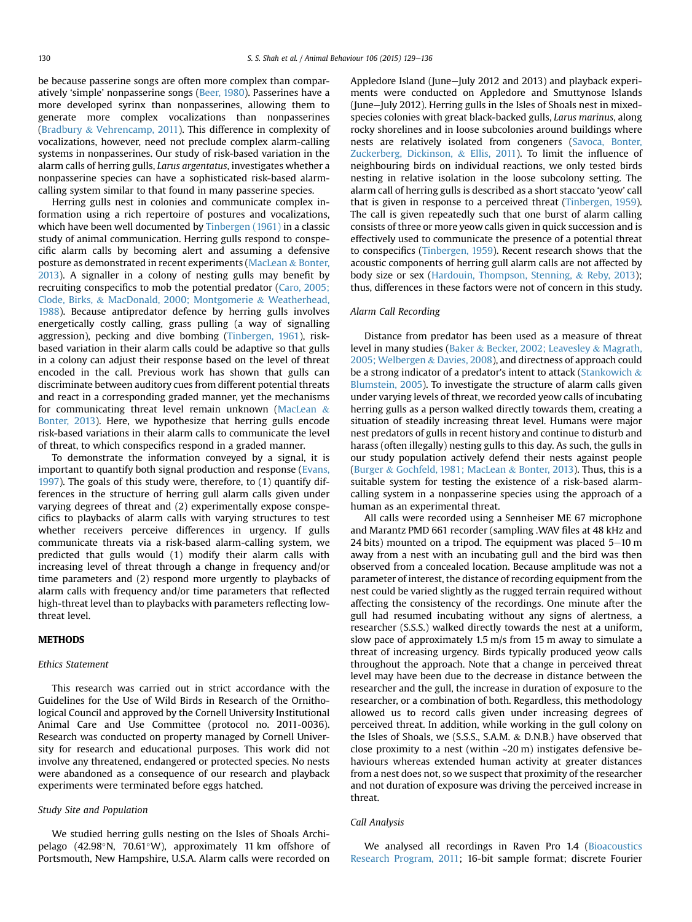be because passerine songs are often more complex than comparatively 'simple' nonpasserine songs ([Beer, 1980](#page-6-0)). Passerines have a more developed syrinx than nonpasserines, allowing them to generate more complex vocalizations than nonpasserines ([Bradbury](#page-6-0) & [Vehrencamp, 2011\)](#page-6-0). This difference in complexity of vocalizations, however, need not preclude complex alarm-calling systems in nonpasserines. Our study of risk-based variation in the alarm calls of herring gulls, Larus argentatus, investigates whether a nonpasserine species can have a sophisticated risk-based alarmcalling system similar to that found in many passerine species.

Herring gulls nest in colonies and communicate complex information using a rich repertoire of postures and vocalizations, which have been well documented by [Tinbergen \(1961\)](#page-7-0) in a classic study of animal communication. Herring gulls respond to conspecific alarm calls by becoming alert and assuming a defensive posture as demonstrated in recent experiments ([MacLean](#page-6-0) & [Bonter,](#page-6-0) [2013](#page-6-0)). A signaller in a colony of nesting gulls may benefit by recruiting conspecifics to mob the potential predator [\(Caro, 2005;](#page-6-0) [Clode, Birks,](#page-6-0) & [MacDonald, 2000; Montgomerie](#page-6-0) & [Weatherhead,](#page-6-0) [1988](#page-6-0)). Because antipredator defence by herring gulls involves energetically costly calling, grass pulling (a way of signalling aggression), pecking and dive bombing ([Tinbergen, 1961\)](#page-7-0), riskbased variation in their alarm calls could be adaptive so that gulls in a colony can adjust their response based on the level of threat encoded in the call. Previous work has shown that gulls can discriminate between auditory cues from different potential threats and react in a corresponding graded manner, yet the mechanisms for communicating threat level remain unknown [\(MacLean](#page-6-0)  $\&$ [Bonter, 2013](#page-6-0)). Here, we hypothesize that herring gulls encode risk-based variations in their alarm calls to communicate the level of threat, to which conspecifics respond in a graded manner.

To demonstrate the information conveyed by a signal, it is important to quantify both signal production and response [\(Evans,](#page-6-0) [1997](#page-6-0)). The goals of this study were, therefore, to (1) quantify differences in the structure of herring gull alarm calls given under varying degrees of threat and (2) experimentally expose conspecifics to playbacks of alarm calls with varying structures to test whether receivers perceive differences in urgency. If gulls communicate threats via a risk-based alarm-calling system, we predicted that gulls would (1) modify their alarm calls with increasing level of threat through a change in frequency and/or time parameters and (2) respond more urgently to playbacks of alarm calls with frequency and/or time parameters that reflected high-threat level than to playbacks with parameters reflecting lowthreat level.

# **METHODS**

#### Ethics Statement

This research was carried out in strict accordance with the Guidelines for the Use of Wild Birds in Research of the Ornithological Council and approved by the Cornell University Institutional Animal Care and Use Committee (protocol no. 2011-0036). Research was conducted on property managed by Cornell University for research and educational purposes. This work did not involve any threatened, endangered or protected species. No nests were abandoned as a consequence of our research and playback experiments were terminated before eggs hatched.

#### Study Site and Population

We studied herring gulls nesting on the Isles of Shoals Archipelago (42.98 $\textdegree$ N, 70.61 $\textdegree$ W), approximately 11 km offshore of Portsmouth, New Hampshire, U.S.A. Alarm calls were recorded on Appledore Island (June-July 2012 and 2013) and playback experiments were conducted on Appledore and Smuttynose Islands (June-July 2012). Herring gulls in the Isles of Shoals nest in mixedspecies colonies with great black-backed gulls, Larus marinus, along rocky shorelines and in loose subcolonies around buildings where nests are relatively isolated from congeners ([Savoca, Bonter,](#page-6-0) [Zuckerberg, Dickinson,](#page-6-0) & [Ellis, 2011\)](#page-6-0). To limit the influence of neighbouring birds on individual reactions, we only tested birds nesting in relative isolation in the loose subcolony setting. The alarm call of herring gulls is described as a short staccato 'yeow' call that is given in response to a perceived threat [\(Tinbergen, 1959\)](#page-7-0). The call is given repeatedly such that one burst of alarm calling consists of three or more yeow calls given in quick succession and is effectively used to communicate the presence of a potential threat to conspecifics ([Tinbergen, 1959](#page-7-0)). Recent research shows that the acoustic components of herring gull alarm calls are not affected by body size or sex ([Hardouin, Thompson, Stenning,](#page-6-0) & [Reby, 2013](#page-6-0)); thus, differences in these factors were not of concern in this study.

# Alarm Call Recording

Distance from predator has been used as a measure of threat level in many studies ([Baker](#page-6-0) & [Becker, 2002; Leavesley](#page-6-0) & [Magrath,](#page-6-0) [2005; Welbergen](#page-6-0) & [Davies, 2008\)](#page-6-0), and directness of approach could be a strong indicator of a predator's intent to attack [\(Stankowich](#page-7-0)  $\&$ [Blumstein, 2005\)](#page-7-0). To investigate the structure of alarm calls given under varying levels of threat, we recorded yeow calls of incubating herring gulls as a person walked directly towards them, creating a situation of steadily increasing threat level. Humans were major nest predators of gulls in recent history and continue to disturb and harass (often illegally) nesting gulls to this day. As such, the gulls in our study population actively defend their nests against people ([Burger](#page-6-0) & [Gochfeld, 1981; MacLean](#page-6-0) & [Bonter, 2013](#page-6-0)). Thus, this is a suitable system for testing the existence of a risk-based alarmcalling system in a nonpasserine species using the approach of a human as an experimental threat.

All calls were recorded using a Sennheiser ME 67 microphone and Marantz PMD 661 recorder (sampling .WAV files at 48 kHz and 24 bits) mounted on a tripod. The equipment was placed  $5-10$  m away from a nest with an incubating gull and the bird was then observed from a concealed location. Because amplitude was not a parameter of interest, the distance of recording equipment from the nest could be varied slightly as the rugged terrain required without affecting the consistency of the recordings. One minute after the gull had resumed incubating without any signs of alertness, a researcher (S.S.S.) walked directly towards the nest at a uniform, slow pace of approximately 1.5 m/s from 15 m away to simulate a threat of increasing urgency. Birds typically produced yeow calls throughout the approach. Note that a change in perceived threat level may have been due to the decrease in distance between the researcher and the gull, the increase in duration of exposure to the researcher, or a combination of both. Regardless, this methodology allowed us to record calls given under increasing degrees of perceived threat. In addition, while working in the gull colony on the Isles of Shoals, we (S.S.S., S.A.M. & D.N.B.) have observed that close proximity to a nest (within  $\sim$ 20 m) instigates defensive behaviours whereas extended human activity at greater distances from a nest does not, so we suspect that proximity of the researcher and not duration of exposure was driving the perceived increase in threat.

#### Call Analysis

We analysed all recordings in Raven Pro 1.4 ([Bioacoustics](#page-6-0) [Research Program, 2011](#page-6-0); 16-bit sample format; discrete Fourier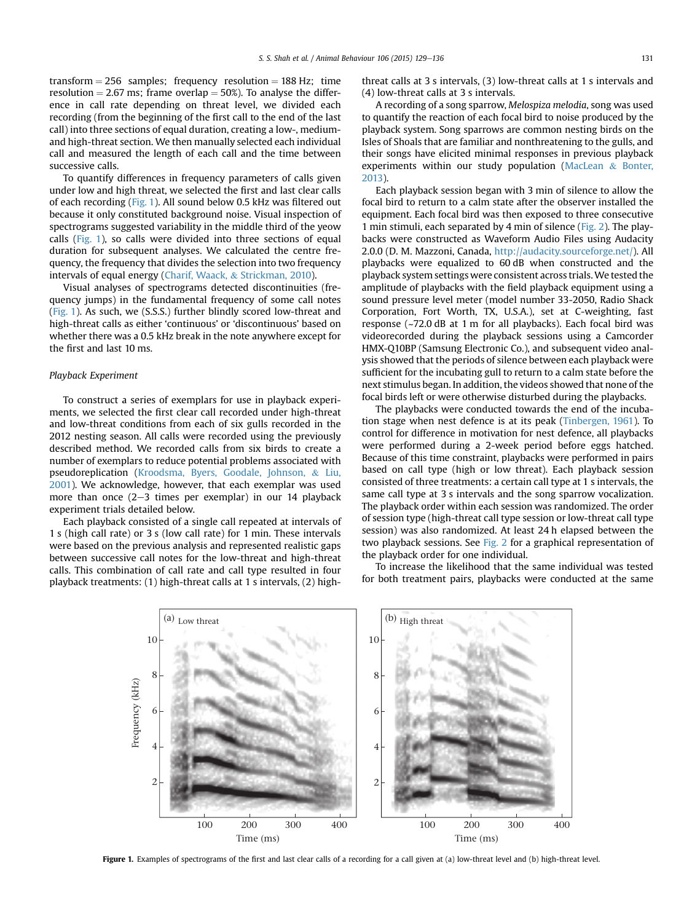transform  $= 256$  samples; frequency resolution  $= 188$  Hz; time resolution  $= 2.67$  ms; frame overlap  $= 50\%$ ). To analyse the difference in call rate depending on threat level, we divided each recording (from the beginning of the first call to the end of the last call) into three sections of equal duration, creating a low-, mediumand high-threat section. We then manually selected each individual call and measured the length of each call and the time between successive calls.

To quantify differences in frequency parameters of calls given under low and high threat, we selected the first and last clear calls of each recording (Fig. 1). All sound below 0.5 kHz was filtered out because it only constituted background noise. Visual inspection of spectrograms suggested variability in the middle third of the yeow calls (Fig. 1), so calls were divided into three sections of equal duration for subsequent analyses. We calculated the centre frequency, the frequency that divides the selection into two frequency intervals of equal energy ([Charif, Waack,](#page-6-0) & [Strickman, 2010\)](#page-6-0).

Visual analyses of spectrograms detected discontinuities (frequency jumps) in the fundamental frequency of some call notes (Fig. 1). As such, we (S.S.S.) further blindly scored low-threat and high-threat calls as either 'continuous' or 'discontinuous' based on whether there was a 0.5 kHz break in the note anywhere except for the first and last 10 ms.

## Playback Experiment

To construct a series of exemplars for use in playback experiments, we selected the first clear call recorded under high-threat and low-threat conditions from each of six gulls recorded in the 2012 nesting season. All calls were recorded using the previously described method. We recorded calls from six birds to create a number of exemplars to reduce potential problems associated with pseudoreplication ([Kroodsma, Byers, Goodale, Johnson,](#page-6-0) & [Liu,](#page-6-0) [2001\)](#page-6-0). We acknowledge, however, that each exemplar was used more than once  $(2-3$  times per exemplar) in our 14 playback experiment trials detailed below.

Each playback consisted of a single call repeated at intervals of 1 s (high call rate) or 3 s (low call rate) for 1 min. These intervals were based on the previous analysis and represented realistic gaps between successive call notes for the low-threat and high-threat calls. This combination of call rate and call type resulted in four playback treatments: (1) high-threat calls at 1 s intervals, (2) highthreat calls at 3 s intervals, (3) low-threat calls at 1 s intervals and (4) low-threat calls at 3 s intervals.

A recording of a song sparrow, Melospiza melodia, song was used to quantify the reaction of each focal bird to noise produced by the playback system. Song sparrows are common nesting birds on the Isles of Shoals that are familiar and nonthreatening to the gulls, and their songs have elicited minimal responses in previous playback experiments within our study population [\(MacLean](#page-6-0) & [Bonter,](#page-6-0) [2013\)](#page-6-0).

Each playback session began with 3 min of silence to allow the focal bird to return to a calm state after the observer installed the equipment. Each focal bird was then exposed to three consecutive 1 min stimuli, each separated by 4 min of silence [\(Fig. 2](#page-3-0)). The playbacks were constructed as Waveform Audio Files using Audacity 2.0.0 (D. M. Mazzoni, Canada, [http://audacity.sourceforge.net/\)](http://audacity.sourceforge.net/). All playbacks were equalized to 60 dB when constructed and the playback system settings were consistent across trials.We tested the amplitude of playbacks with the field playback equipment using a sound pressure level meter (model number 33-2050, Radio Shack Corporation, Fort Worth, TX, U.S.A.), set at C-weighting, fast response (~72.0 dB at 1 m for all playbacks). Each focal bird was videorecorded during the playback sessions using a Camcorder HMX-Q10BP (Samsung Electronic Co.), and subsequent video analysis showed that the periods of silence between each playback were sufficient for the incubating gull to return to a calm state before the next stimulus began. In addition, the videos showed that none of the focal birds left or were otherwise disturbed during the playbacks.

The playbacks were conducted towards the end of the incubation stage when nest defence is at its peak ([Tinbergen, 1961\)](#page-7-0). To control for difference in motivation for nest defence, all playbacks were performed during a 2-week period before eggs hatched. Because of this time constraint, playbacks were performed in pairs based on call type (high or low threat). Each playback session consisted of three treatments: a certain call type at 1 s intervals, the same call type at 3 s intervals and the song sparrow vocalization. The playback order within each session was randomized. The order of session type (high-threat call type session or low-threat call type session) was also randomized. At least 24 h elapsed between the two playback sessions. See [Fig. 2](#page-3-0) for a graphical representation of the playback order for one individual.

To increase the likelihood that the same individual was tested for both treatment pairs, playbacks were conducted at the same



Figure 1. Examples of spectrograms of the first and last clear calls of a recording for a call given at (a) low-threat level and (b) high-threat level.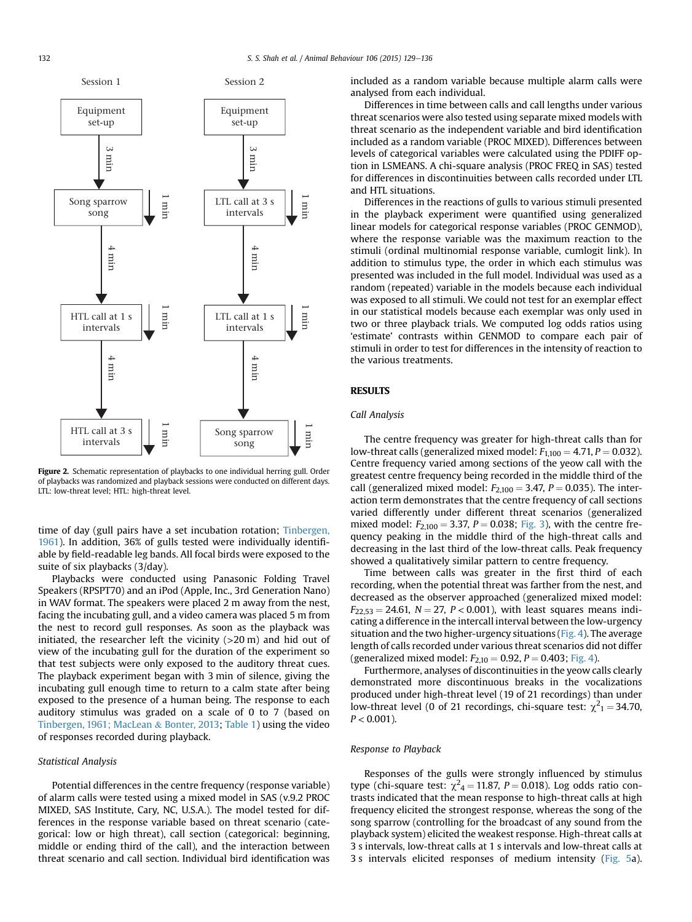<span id="page-3-0"></span>

Figure 2. Schematic representation of playbacks to one individual herring gull. Order of playbacks was randomized and playback sessions were conducted on different days. LTL: low-threat level; HTL: high-threat level.

time of day (gull pairs have a set incubation rotation; [Tinbergen,](#page-7-0) [1961](#page-7-0)). In addition, 36% of gulls tested were individually identifiable by field-readable leg bands. All focal birds were exposed to the suite of six playbacks (3/day).

Playbacks were conducted using Panasonic Folding Travel Speakers (RPSPT70) and an iPod (Apple, Inc., 3rd Generation Nano) in WAV format. The speakers were placed 2 m away from the nest, facing the incubating gull, and a video camera was placed 5 m from the nest to record gull responses. As soon as the playback was initiated, the researcher left the vicinity  $(>20 \text{ m})$  and hid out of view of the incubating gull for the duration of the experiment so that test subjects were only exposed to the auditory threat cues. The playback experiment began with 3 min of silence, giving the incubating gull enough time to return to a calm state after being exposed to the presence of a human being. The response to each auditory stimulus was graded on a scale of 0 to 7 (based on [Tinbergen, 1961; MacLean](#page-7-0) & [Bonter, 2013;](#page-7-0) [Table 1\)](#page-4-0) using the video of responses recorded during playback.

# Statistical Analysis

Potential differences in the centre frequency (response variable) of alarm calls were tested using a mixed model in SAS (v.9.2 PROC MIXED, SAS Institute, Cary, NC, U.S.A.). The model tested for differences in the response variable based on threat scenario (categorical: low or high threat), call section (categorical: beginning, middle or ending third of the call), and the interaction between threat scenario and call section. Individual bird identification was included as a random variable because multiple alarm calls were analysed from each individual.

Differences in time between calls and call lengths under various threat scenarios were also tested using separate mixed models with threat scenario as the independent variable and bird identification included as a random variable (PROC MIXED). Differences between levels of categorical variables were calculated using the PDIFF option in LSMEANS. A chi-square analysis (PROC FREQ in SAS) tested for differences in discontinuities between calls recorded under LTL and HTL situations.

Differences in the reactions of gulls to various stimuli presented in the playback experiment were quantified using generalized linear models for categorical response variables (PROC GENMOD), where the response variable was the maximum reaction to the stimuli (ordinal multinomial response variable, cumlogit link). In addition to stimulus type, the order in which each stimulus was presented was included in the full model. Individual was used as a random (repeated) variable in the models because each individual was exposed to all stimuli. We could not test for an exemplar effect in our statistical models because each exemplar was only used in two or three playback trials. We computed log odds ratios using 'estimate' contrasts within GENMOD to compare each pair of stimuli in order to test for differences in the intensity of reaction to the various treatments.

# RESULTS

# Call Analysis

The centre frequency was greater for high-threat calls than for low-threat calls (generalized mixed model:  $F_{1,100} = 4.71$ ,  $P = 0.032$ ). Centre frequency varied among sections of the yeow call with the greatest centre frequency being recorded in the middle third of the call (generalized mixed model:  $F_{2,100} = 3.47$ ,  $P = 0.035$ ). The interaction term demonstrates that the centre frequency of call sections varied differently under different threat scenarios (generalized mixed model:  $F_{2,100} = 3.37$ ,  $P = 0.038$ ; [Fig. 3](#page-4-0)), with the centre frequency peaking in the middle third of the high-threat calls and decreasing in the last third of the low-threat calls. Peak frequency showed a qualitatively similar pattern to centre frequency.

Time between calls was greater in the first third of each recording, when the potential threat was farther from the nest, and decreased as the observer approached (generalized mixed model:  $F_{22,53} = 24.61$ ,  $N = 27$ ,  $P < 0.001$ ), with least squares means indicating a difference in the intercall interval between the low-urgency situation and the two higher-urgency situations ([Fig. 4](#page-4-0)). The average length of calls recorded under various threat scenarios did not differ (generalized mixed model:  $F_{2,10} = 0.92$ ,  $P = 0.403$ ; [Fig. 4](#page-4-0)).

Furthermore, analyses of discontinuities in the yeow calls clearly demonstrated more discontinuous breaks in the vocalizations produced under high-threat level (19 of 21 recordings) than under low-threat level (0 of 21 recordings, chi-square test:  $\chi^2_{1} = 34.70$ ,  $P < 0.001$ ).

## Response to Playback

Responses of the gulls were strongly influenced by stimulus type (chi-square test:  $\chi^2$ <sub>4</sub> = 11.87, P = 0.018). Log odds ratio contrasts indicated that the mean response to high-threat calls at high frequency elicited the strongest response, whereas the song of the song sparrow (controlling for the broadcast of any sound from the playback system) elicited the weakest response. High-threat calls at 3 s intervals, low-threat calls at 1 s intervals and low-threat calls at 3 s intervals elicited responses of medium intensity ([Fig. 5a](#page-5-0)).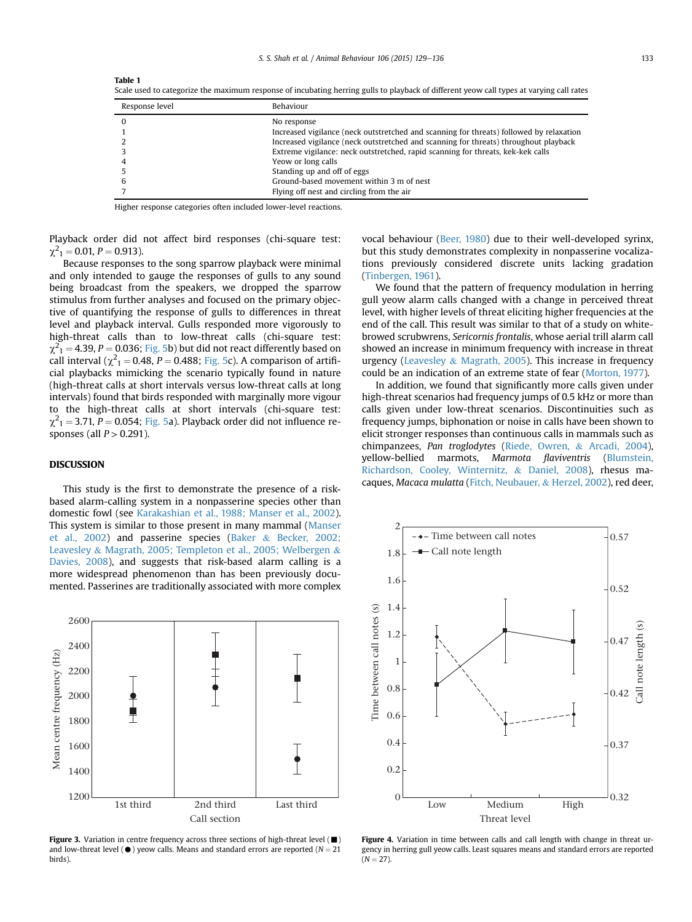<span id="page-4-0"></span>

|--|

Scale used to categorize the maximum response of incubating herring gulls to playback of different yeow call types at varying call rates

| Response level | Behaviour                                                                               |
|----------------|-----------------------------------------------------------------------------------------|
|                | No response                                                                             |
|                | Increased vigilance (neck outstretched and scanning for threats) followed by relaxation |
|                | Increased vigilance (neck outstretched and scanning for threats) throughout playback    |
|                | Extreme vigilance: neck outstretched, rapid scanning for threats, kek-kek calls         |
|                | Yeow or long calls                                                                      |
|                | Standing up and off of eggs                                                             |
|                | Ground-based movement within 3 m of nest                                                |
|                | Flying off nest and circling from the air                                               |

Higher response categories often included lower-level reactions.

Playback order did not affect bird responses (chi-square test:  $\chi^2_{1} = 0.01, P = 0.913$ ).

Because responses to the song sparrow playback were minimal and only intended to gauge the responses of gulls to any sound being broadcast from the speakers, we dropped the sparrow stimulus from further analyses and focused on the primary objective of quantifying the response of gulls to differences in threat level and playback interval. Gulls responded more vigorously to high-threat calls than to low-threat calls (chi-square test:  $\chi^2$ <sub>1</sub> = 4.39, *P* = 0.036; [Fig. 5b](#page-5-0)) but did not react differently based on call interval ( $\chi^2$ <sub>1</sub> = 0.48, *P* = 0.488; [Fig. 5](#page-5-0)c). A comparison of artificial playbacks mimicking the scenario typically found in nature (high-threat calls at short intervals versus low-threat calls at long intervals) found that birds responded with marginally more vigour to the high-threat calls at short intervals (chi-square test:  $\chi^2$ <sub>1</sub> = 3.71, *P* = 0.054; [Fig. 5](#page-5-0)a). Playback order did not influence responses (all  $P > 0.291$ ).

# DISCUSSION

This study is the first to demonstrate the presence of a riskbased alarm-calling system in a nonpasserine species other than domestic fowl (see [Karakashian et al., 1988; Manser et al., 2002\)](#page-6-0). This system is similar to those present in many mammal [\(Manser](#page-6-0) [et al., 2002\)](#page-6-0) and passerine species ([Baker](#page-6-0) & [Becker, 2002;](#page-6-0) [Leavesley](#page-6-0) & [Magrath, 2005; Templeton et al., 2005; Welbergen](#page-6-0) & [Davies, 2008](#page-6-0)), and suggests that risk-based alarm calling is a more widespread phenomenon than has been previously documented. Passerines are traditionally associated with more complex



**Figure 3.** Variation in centre frequency across three sections of high-threat level ( $\blacksquare$ ) and low-threat level ( $\bullet$ ) yeow calls. Means and standard errors are reported ( $N = 21$ ) birds).

vocal behaviour ([Beer, 1980\)](#page-6-0) due to their well-developed syrinx, but this study demonstrates complexity in nonpasserine vocalizations previously considered discrete units lacking gradation ([Tinbergen, 1961\)](#page-7-0).

We found that the pattern of frequency modulation in herring gull yeow alarm calls changed with a change in perceived threat level, with higher levels of threat eliciting higher frequencies at the end of the call. This result was similar to that of a study on whitebrowed scrubwrens, Sericornis frontalis, whose aerial trill alarm call showed an increase in minimum frequency with increase in threat urgency [\(Leavesley](#page-6-0) & [Magrath, 2005](#page-6-0)). This increase in frequency could be an indication of an extreme state of fear [\(Morton, 1977](#page-6-0)).

In addition, we found that significantly more calls given under high-threat scenarios had frequency jumps of 0.5 kHz or more than calls given under low-threat scenarios. Discontinuities such as frequency jumps, biphonation or noise in calls have been shown to elicit stronger responses than continuous calls in mammals such as chimpanzees, Pan troglodytes ([Riede, Owren,](#page-6-0) & [Arcadi, 2004\)](#page-6-0), yellow-bellied marmots, Marmota flaviventris ([Blumstein,](#page-6-0) [Richardson, Cooley, Winternitz,](#page-6-0) & [Daniel, 2008](#page-6-0)), rhesus macaques, Macaca mulatta [\(Fitch, Neubauer,](#page-6-0) & [Herzel, 2002\)](#page-6-0), red deer,



Figure 4. Variation in time between calls and call length with change in threat urgency in herring gull yeow calls. Least squares means and standard errors are reported  $(N = 27)$ .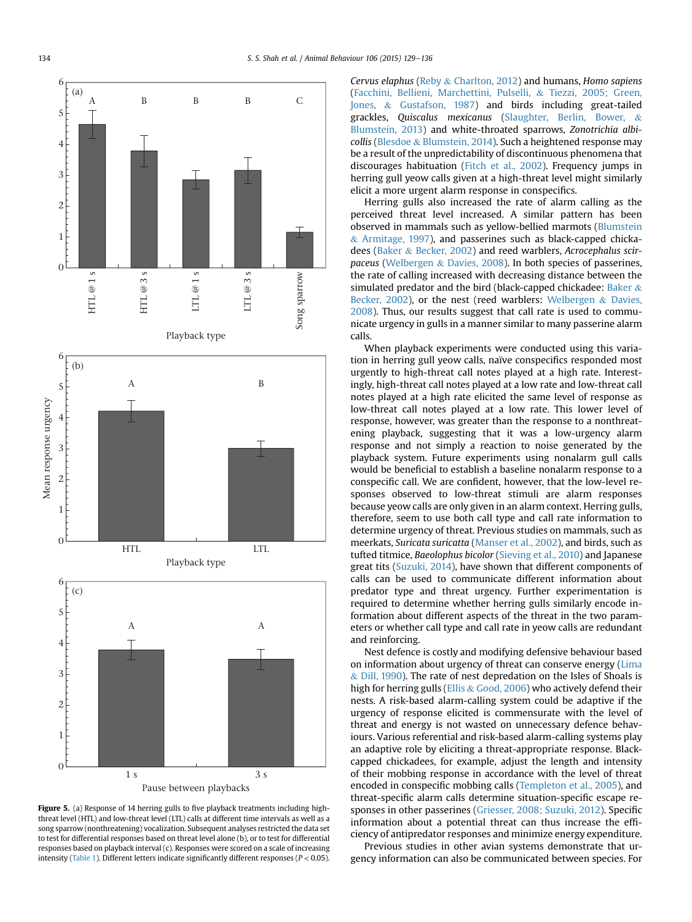<span id="page-5-0"></span>

Figure 5. (a) Response of 14 herring gulls to five playback treatments including highthreat level (HTL) and low-threat level (LTL) calls at different time intervals as well as a song sparrow (nonthreatening) vocalization. Subsequent analyses restricted the data set to test for differential responses based on threat level alone (b), or to test for differential responses based on playback interval (c). Responses were scored on a scale of increasing intensity [\(Table 1\)](#page-4-0). Different letters indicate significantly different responses ( $P < 0.05$ ).

Cervus elaphus ([Reby](#page-6-0) & [Charlton, 2012\)](#page-6-0) and humans, Homo sapiens ([Facchini, Bellieni, Marchettini, Pulselli,](#page-6-0) & [Tiezzi, 2005; Green,](#page-6-0) [Jones,](#page-6-0) & [Gustafson, 1987\)](#page-6-0) and birds including great-tailed grackles, Quiscalus mexicanus ([Slaughter, Berlin, Bower,](#page-6-0) & [Blumstein, 2013\)](#page-6-0) and white-throated sparrows, Zonotrichia albicollis ([Blesdoe](#page-6-0) & [Blumstein, 2014](#page-6-0)). Such a heightened response may be a result of the unpredictability of discontinuous phenomena that discourages habituation [\(Fitch et al., 2002\)](#page-6-0). Frequency jumps in herring gull yeow calls given at a high-threat level might similarly elicit a more urgent alarm response in conspecifics.

Herring gulls also increased the rate of alarm calling as the perceived threat level increased. A similar pattern has been observed in mammals such as yellow-bellied marmots ([Blumstein](#page-6-0) & [Armitage, 1997\)](#page-6-0), and passerines such as black-capped chickadees ([Baker](#page-6-0) & [Becker, 2002\)](#page-6-0) and reed warblers, Acrocephalus scirpaceus [\(Welbergen](#page-7-0) & [Davies, 2008\)](#page-7-0). In both species of passerines, the rate of calling increased with decreasing distance between the simulated predator and the bird (black-capped chickadee: [Baker](#page-6-0)  $\&$ [Becker, 2002\)](#page-6-0), or the nest (reed warblers: [Welbergen](#page-7-0) & [Davies,](#page-7-0) [2008](#page-7-0)). Thus, our results suggest that call rate is used to communicate urgency in gulls in a manner similar to many passerine alarm calls.

When playback experiments were conducted using this variation in herring gull yeow calls, naïve conspecifics responded most urgently to high-threat call notes played at a high rate. Interestingly, high-threat call notes played at a low rate and low-threat call notes played at a high rate elicited the same level of response as low-threat call notes played at a low rate. This lower level of response, however, was greater than the response to a nonthreatening playback, suggesting that it was a low-urgency alarm response and not simply a reaction to noise generated by the playback system. Future experiments using nonalarm gull calls would be beneficial to establish a baseline nonalarm response to a conspecific call. We are confident, however, that the low-level responses observed to low-threat stimuli are alarm responses because yeow calls are only given in an alarm context. Herring gulls, therefore, seem to use both call type and call rate information to determine urgency of threat. Previous studies on mammals, such as meerkats, Suricata suricatta [\(Manser et al., 2002\)](#page-6-0), and birds, such as tufted titmice, Baeolophus bicolor ([Sieving et al., 2010\)](#page-6-0) and Japanese great tits [\(Suzuki, 2014\)](#page-7-0), have shown that different components of calls can be used to communicate different information about predator type and threat urgency. Further experimentation is required to determine whether herring gulls similarly encode information about different aspects of the threat in the two parameters or whether call type and call rate in yeow calls are redundant and reinforcing.

Nest defence is costly and modifying defensive behaviour based on information about urgency of threat can conserve energy ([Lima](#page-6-0) & [Dill, 1990](#page-6-0)). The rate of nest depredation on the Isles of Shoals is high for herring gulls ([Ellis](#page-6-0)  $&$  [Good, 2006](#page-6-0)) who actively defend their nests. A risk-based alarm-calling system could be adaptive if the urgency of response elicited is commensurate with the level of threat and energy is not wasted on unnecessary defence behaviours. Various referential and risk-based alarm-calling systems play an adaptive role by eliciting a threat-appropriate response. Blackcapped chickadees, for example, adjust the length and intensity of their mobbing response in accordance with the level of threat encoded in conspecific mobbing calls [\(Templeton et al., 2005\)](#page-7-0), and threat-specific alarm calls determine situation-specific escape responses in other passerines ([Griesser, 2008; Suzuki, 2012\)](#page-6-0). Specific information about a potential threat can thus increase the efficiency of antipredator responses and minimize energy expenditure.

Previous studies in other avian systems demonstrate that urgency information can also be communicated between species. For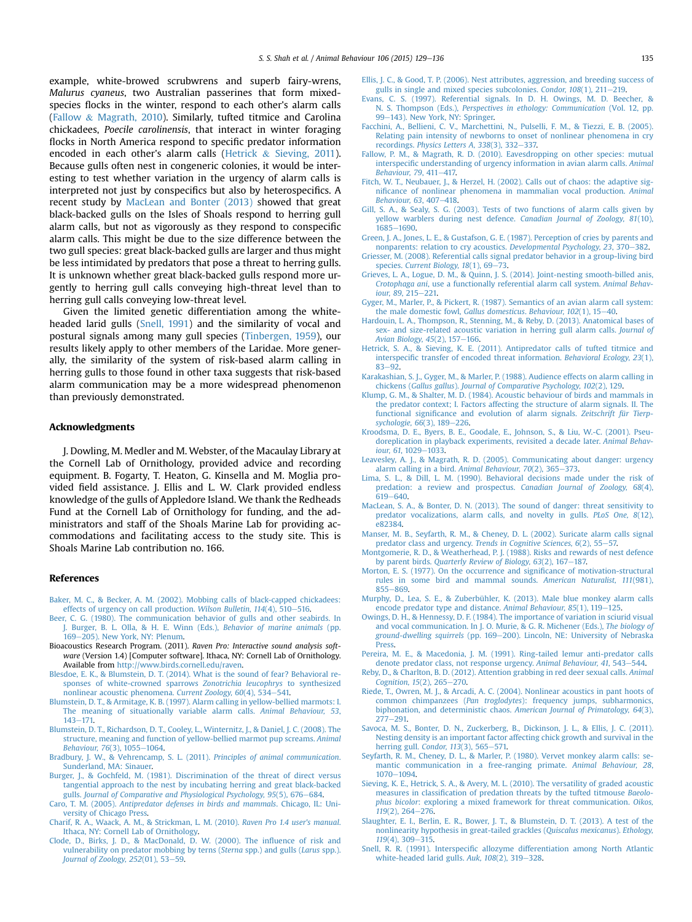<span id="page-6-0"></span>example, white-browed scrubwrens and superb fairy-wrens, Malurus cyaneus, two Australian passerines that form mixedspecies flocks in the winter, respond to each other's alarm calls (Fallow & Magrath, 2010). Similarly, tufted titmice and Carolina chickadees, Poecile carolinensis, that interact in winter foraging flocks in North America respond to specific predator information encoded in each other's alarm calls (Hetrick & Sieving, 2011). Because gulls often nest in congeneric colonies, it would be interesting to test whether variation in the urgency of alarm calls is interpreted not just by conspecifics but also by heterospecifics. A recent study by MacLean and Bonter (2013) showed that great black-backed gulls on the Isles of Shoals respond to herring gull alarm calls, but not as vigorously as they respond to conspecific alarm calls. This might be due to the size difference between the two gull species: great black-backed gulls are larger and thus might be less intimidated by predators that pose a threat to herring gulls. It is unknown whether great black-backed gulls respond more urgently to herring gull calls conveying high-threat level than to herring gull calls conveying low-threat level.

Given the limited genetic differentiation among the whiteheaded larid gulls (Snell, 1991) and the similarity of vocal and postural signals among many gull species [\(Tinbergen, 1959](#page-7-0)), our results likely apply to other members of the Laridae. More generally, the similarity of the system of risk-based alarm calling in herring gulls to those found in other taxa suggests that risk-based alarm communication may be a more widespread phenomenon than previously demonstrated.

#### Acknowledgments

J. Dowling, M. Medler and M. Webster, of the Macaulay Library at the Cornell Lab of Ornithology, provided advice and recording equipment. B. Fogarty, T. Heaton, G. Kinsella and M. Moglia provided field assistance. J. Ellis and L. W. Clark provided endless knowledge of the gulls of Appledore Island. We thank the Redheads Fund at the Cornell Lab of Ornithology for funding, and the administrators and staff of the Shoals Marine Lab for providing accommodations and facilitating access to the study site. This is Shoals Marine Lab contribution no. 166.

#### References

- [Baker, M. C., & Becker, A. M. \(2002\). Mobbing calls of black-capped chickadees:](http://refhub.elsevier.com/S0003-3472(15)00190-6/sref1) [effects of urgency on call production.](http://refhub.elsevier.com/S0003-3472(15)00190-6/sref1) Wilson Bulletin,  $114(4)$ ,  $510-516$ .
- [Beer, C. G. \(1980\). The communication behavior of gulls and other seabirds. In](http://refhub.elsevier.com/S0003-3472(15)00190-6/sref2) [J. Burger, B. L. Olla, & H. E. Winn \(Eds.\),](http://refhub.elsevier.com/S0003-3472(15)00190-6/sref2) Behavior of marine animals (pp. [169](http://refhub.elsevier.com/S0003-3472(15)00190-6/sref2)-[205\). New York, NY: Plenum.](http://refhub.elsevier.com/S0003-3472(15)00190-6/sref2)
- Bioacoustics Research Program. (2011). Raven Pro: Interactive sound analysis software (Version 1.4) [Computer software]. Ithaca, NY: Cornell Lab of Ornithology. Available from <http://www.birds.cornell.edu/raven>.
- [Blesdoe, E. K., & Blumstein, D. T. \(2014\). What is the sound of fear? Behavioral re](http://refhub.elsevier.com/S0003-3472(15)00190-6/sref4)[sponses of white-crowned sparrows](http://refhub.elsevier.com/S0003-3472(15)00190-6/sref4) Zonotrichia leucophrys to synthesized [nonlinear acoustic phenomena.](http://refhub.elsevier.com/S0003-3472(15)00190-6/sref4) Current Zoology, 60(4), 534-[541.](http://refhub.elsevier.com/S0003-3472(15)00190-6/sref4)
- [Blumstein, D. T., & Armitage, K. B. \(1997\). Alarm calling in yellow-bellied marmots: I.](http://refhub.elsevier.com/S0003-3472(15)00190-6/sref5) [The meaning of situationally variable alarm calls.](http://refhub.elsevier.com/S0003-3472(15)00190-6/sref5) Animal Behaviour, 53, [143](http://refhub.elsevier.com/S0003-3472(15)00190-6/sref5)-[171.](http://refhub.elsevier.com/S0003-3472(15)00190-6/sref5)
- [Blumstein, D. T., Richardson, D. T., Cooley, L., Winternitz, J., & Daniel, J. C. \(2008\). The](http://refhub.elsevier.com/S0003-3472(15)00190-6/sref6) [structure, meaning and function of yellow-bellied marmot pup screams.](http://refhub.elsevier.com/S0003-3472(15)00190-6/sref6) Animal [Behaviour, 76](http://refhub.elsevier.com/S0003-3472(15)00190-6/sref6)(3), 1055-[1064.](http://refhub.elsevier.com/S0003-3472(15)00190-6/sref6)
- [Bradbury, J. W., & Vehrencamp, S. L. \(2011\).](http://refhub.elsevier.com/S0003-3472(15)00190-6/sref7) Principles of animal communication. [Sunderland, MA: Sinauer.](http://refhub.elsevier.com/S0003-3472(15)00190-6/sref7)
- [Burger, J., & Gochfeld, M. \(1981\). Discrimination of the threat of direct versus](http://refhub.elsevier.com/S0003-3472(15)00190-6/sref8) [tangential approach to the nest by incubating herring and great black-backed](http://refhub.elsevier.com/S0003-3472(15)00190-6/sref8) gulls. [Journal of Comparative and Physiological Psychology, 95](http://refhub.elsevier.com/S0003-3472(15)00190-6/sref8)(5), 676-[684.](http://refhub.elsevier.com/S0003-3472(15)00190-6/sref8)
- Caro, T. M. (2005). [Antipredator defenses in birds and mammals](http://refhub.elsevier.com/S0003-3472(15)00190-6/sref9). Chicago, IL: Uni[versity of Chicago Press.](http://refhub.elsevier.com/S0003-3472(15)00190-6/sref9)
- [Charif, R. A., Waack, A. M., & Strickman, L. M. \(2010\).](http://refhub.elsevier.com/S0003-3472(15)00190-6/sref10) Raven Pro 1.4 user's manual. [Ithaca, NY: Cornell Lab of Ornithology](http://refhub.elsevier.com/S0003-3472(15)00190-6/sref10).
- [Clode, D., Birks, J. D., & MacDonald, D. W. \(2000\). The in](http://refhub.elsevier.com/S0003-3472(15)00190-6/sref11)fluence of risk and [vulnerability on predator mobbing by terns \(](http://refhub.elsevier.com/S0003-3472(15)00190-6/sref11)Sterna spp.) and gulls (Larus spp.). [Journal of Zoology, 252](http://refhub.elsevier.com/S0003-3472(15)00190-6/sref11)(01), 53-[59](http://refhub.elsevier.com/S0003-3472(15)00190-6/sref11).
- [Ellis, J. C., & Good, T. P. \(2006\). Nest attributes, aggression, and breeding success of](http://refhub.elsevier.com/S0003-3472(15)00190-6/sref12) [gulls in single and mixed species subcolonies.](http://refhub.elsevier.com/S0003-3472(15)00190-6/sref12) Condor,  $108(1)$ ,  $211-219$  $211-219$ .
- [Evans, C. S. \(1997\). Referential signals. In D. H. Owings, M. D. Beecher, &](http://refhub.elsevier.com/S0003-3472(15)00190-6/sref13) N. S. Thompson (Eds.), [Perspectives in ethology: Communication](http://refhub.elsevier.com/S0003-3472(15)00190-6/sref13) (Vol. 12, pp. [99](http://refhub.elsevier.com/S0003-3472(15)00190-6/sref13)-[143\). New York, NY: Springer.](http://refhub.elsevier.com/S0003-3472(15)00190-6/sref13)
- [Facchini, A., Bellieni, C. V., Marchettini, N., Pulselli, F. M., & Tiezzi, E. B. \(2005\).](http://refhub.elsevier.com/S0003-3472(15)00190-6/sref14) [Relating pain intensity of newborns to onset of nonlinear phenomena in cry](http://refhub.elsevier.com/S0003-3472(15)00190-6/sref14) recordings. [Physics Letters A, 338](http://refhub.elsevier.com/S0003-3472(15)00190-6/sref14)(3), 332-[337.](http://refhub.elsevier.com/S0003-3472(15)00190-6/sref14)
- [Fallow, P. M., & Magrath, R. D. \(2010\). Eavesdropping on other species: mutual](http://refhub.elsevier.com/S0003-3472(15)00190-6/sref15) interspecifi[c understanding of urgency information in avian alarm calls.](http://refhub.elsevier.com/S0003-3472(15)00190-6/sref15) Animal [Behaviour, 79](http://refhub.elsevier.com/S0003-3472(15)00190-6/sref15), 411-[417.](http://refhub.elsevier.com/S0003-3472(15)00190-6/sref15)
- [Fitch, W. T., Neubauer, J., & Herzel, H. \(2002\). Calls out of chaos: the adaptive sig](http://refhub.elsevier.com/S0003-3472(15)00190-6/sref16)nifi[cance of nonlinear phenomena in mammalian vocal production.](http://refhub.elsevier.com/S0003-3472(15)00190-6/sref16) Animal [Behaviour, 63](http://refhub.elsevier.com/S0003-3472(15)00190-6/sref16), 407-[418.](http://refhub.elsevier.com/S0003-3472(15)00190-6/sref16)
- [Gill, S. A., & Sealy, S. G. \(2003\). Tests of two functions of alarm calls given by](http://refhub.elsevier.com/S0003-3472(15)00190-6/sref17) [yellow warblers during nest defence.](http://refhub.elsevier.com/S0003-3472(15)00190-6/sref17) Canadian Journal of Zoology, 81(10), [1685](http://refhub.elsevier.com/S0003-3472(15)00190-6/sref17)-[1690.](http://refhub.elsevier.com/S0003-3472(15)00190-6/sref17)
- [Green, J. A., Jones, L. E., & Gustafson, G. E. \(1987\). Perception of cries by parents and](http://refhub.elsevier.com/S0003-3472(15)00190-6/sref18) [nonparents: relation to cry acoustics.](http://refhub.elsevier.com/S0003-3472(15)00190-6/sref18) Developmental Psychology, 23, 370–[382](http://refhub.elsevier.com/S0003-3472(15)00190-6/sref18).<br>[Griesser, M. \(2008\). Referential calls signal predator behavior in a group-living bird](http://refhub.elsevier.com/S0003-3472(15)00190-6/sref19)
- species. [Current Biology, 18](http://refhub.elsevier.com/S0003-3472(15)00190-6/sref19)(1), 69-[73](http://refhub.elsevier.com/S0003-3472(15)00190-6/sref19).
- [Grieves, L. A., Logue, D. M., & Quinn, J. S. \(2014\). Joint-nesting smooth-billed anis,](http://refhub.elsevier.com/S0003-3472(15)00190-6/sref20) Crotophaga ani[, use a functionally referential alarm call system.](http://refhub.elsevier.com/S0003-3472(15)00190-6/sref20) Animal Behav $i_{01}$  $i_{15}$   $215 - 221$ .
- [Gyger, M., Marler, P., & Pickert, R. \(1987\). Semantics of an avian alarm call system:](http://refhub.elsevier.com/S0003-3472(15)00190-6/sref21) [the male domestic fowl,](http://refhub.elsevier.com/S0003-3472(15)00190-6/sref21) Gallus domesticus. Behaviour,  $102(1)$ ,  $15-40$  $15-40$ .
- [Hardouin, L. A., Thompson, R., Stenning, M., & Reby, D. \(2013\). Anatomical bases of](http://refhub.elsevier.com/S0003-3472(15)00190-6/sref22) [sex- and size-related acoustic variation in herring gull alarm calls.](http://refhub.elsevier.com/S0003-3472(15)00190-6/sref22) Journal of [Avian Biology, 45](http://refhub.elsevier.com/S0003-3472(15)00190-6/sref22)(2), 157-[166](http://refhub.elsevier.com/S0003-3472(15)00190-6/sref22).
- [Hetrick, S. A., & Sieving, K. E. \(2011\). Antipredator calls of tufted titmice and](http://refhub.elsevier.com/S0003-3472(15)00190-6/sref23) interspecifi[c transfer of encoded threat information.](http://refhub.elsevier.com/S0003-3472(15)00190-6/sref23) Behavioral Ecology, 23(1),  $83 - 92$  $83 - 92$
- [Karakashian, S. J., Gyger, M., & Marler, P. \(1988\). Audience effects on alarm calling in](http://refhub.elsevier.com/S0003-3472(15)00190-6/sref24) chickens (Gallus gallus). [Journal of Comparative Psychology, 102](http://refhub.elsevier.com/S0003-3472(15)00190-6/sref24)(2), 129.
- [Klump, G. M., & Shalter, M. D. \(1984\). Acoustic behaviour of birds and mammals in](http://refhub.elsevier.com/S0003-3472(15)00190-6/sref25) [the predator context; I. Factors affecting the structure of alarm signals. II. The](http://refhub.elsevier.com/S0003-3472(15)00190-6/sref25) functional signifi[cance and evolution of alarm signals.](http://refhub.elsevier.com/S0003-3472(15)00190-6/sref25) Zeitschrift für Tierp[sychologie, 66](http://refhub.elsevier.com/S0003-3472(15)00190-6/sref25)(3), 189-[226.](http://refhub.elsevier.com/S0003-3472(15)00190-6/sref25)
- [Kroodsma, D. E., Byers, B. E., Goodale, E., Johnson, S., & Liu, W.-C. \(2001\). Pseu](http://refhub.elsevier.com/S0003-3472(15)00190-6/sref26)[doreplication in playback experiments, revisited a decade later.](http://refhub.elsevier.com/S0003-3472(15)00190-6/sref26) Animal Behav[iour, 61](http://refhub.elsevier.com/S0003-3472(15)00190-6/sref26), 1029-[1033.](http://refhub.elsevier.com/S0003-3472(15)00190-6/sref26)
- [Leavesley, A. J., & Magrath, R. D. \(2005\). Communicating about danger: urgency](http://refhub.elsevier.com/S0003-3472(15)00190-6/sref27) [alarm calling in a bird.](http://refhub.elsevier.com/S0003-3472(15)00190-6/sref27) Animal Behaviour,  $70(2)$ ,  $365-373$ .
- [Lima, S. L., & Dill, L. M. \(1990\). Behavioral decisions made under the risk of](http://refhub.elsevier.com/S0003-3472(15)00190-6/sref28) [predation: a review and prospectus.](http://refhub.elsevier.com/S0003-3472(15)00190-6/sref28) Canadian Journal of Zoology, 68(4), [619](http://refhub.elsevier.com/S0003-3472(15)00190-6/sref28)-[640.](http://refhub.elsevier.com/S0003-3472(15)00190-6/sref28)
- [MacLean, S. A., & Bonter, D. N. \(2013\). The sound of danger: threat sensitivity to](http://refhub.elsevier.com/S0003-3472(15)00190-6/sref29) [predator vocalizations, alarm calls, and novelty in gulls.](http://refhub.elsevier.com/S0003-3472(15)00190-6/sref29) PLoS One, 8(12), [e82384.](http://refhub.elsevier.com/S0003-3472(15)00190-6/sref29)
- [Manser, M. B., Seyfarth, R. M., & Cheney, D. L. \(2002\). Suricate alarm calls signal](http://refhub.elsevier.com/S0003-3472(15)00190-6/sref30) predator class and urgency. [Trends in Cognitive Sciences, 6](http://refhub.elsevier.com/S0003-3472(15)00190-6/sref30)(2), 55-[57.](http://refhub.elsevier.com/S0003-3472(15)00190-6/sref30)
- [Montgomerie, R. D., & Weatherhead, P. J. \(1988\). Risks and rewards of nest defence](http://refhub.elsevier.com/S0003-3472(15)00190-6/sref31) by parent birds. [Quarterly Review of Biology, 63](http://refhub.elsevier.com/S0003-3472(15)00190-6/sref31)(2), 167-[187.](http://refhub.elsevier.com/S0003-3472(15)00190-6/sref31)
- [Morton, E. S. \(1977\). On the occurrence and signi](http://refhub.elsevier.com/S0003-3472(15)00190-6/sref32)ficance of motivation-structural [rules in some bird and mammal sounds.](http://refhub.elsevier.com/S0003-3472(15)00190-6/sref32) American Naturalist, 111(981), [855](http://refhub.elsevier.com/S0003-3472(15)00190-6/sref32)-[869](http://refhub.elsevier.com/S0003-3472(15)00190-6/sref32).
- [Murphy, D., Lea, S. E., & Zuberbühler, K. \(2013\). Male blue monkey alarm calls](http://refhub.elsevier.com/S0003-3472(15)00190-6/sref33) [encode predator type and distance.](http://refhub.elsevier.com/S0003-3472(15)00190-6/sref33) Animal Behaviour,  $85(1)$ ,  $119-125$ .
- [Owings, D. H., & Hennessy, D. F. \(1984\). The importance of variation in sciurid visual](http://refhub.elsevier.com/S0003-3472(15)00190-6/sref34) [and vocal communication. In J. O. Murie, & G. R. Michener \(Eds.\),](http://refhub.elsevier.com/S0003-3472(15)00190-6/sref34) The biology of [ground-dwelling squirrels](http://refhub.elsevier.com/S0003-3472(15)00190-6/sref34) (pp. 169-[200\). Lincoln, NE: University of Nebraska](http://refhub.elsevier.com/S0003-3472(15)00190-6/sref34) **[Press](http://refhub.elsevier.com/S0003-3472(15)00190-6/sref34)**
- [Pereira, M. E., & Macedonia, J. M. \(1991\). Ring-tailed lemur anti-predator calls](http://refhub.elsevier.com/S0003-3472(15)00190-6/sref35) [denote predator class, not response urgency.](http://refhub.elsevier.com/S0003-3472(15)00190-6/sref35) Animal Behaviour,  $41$ , 543-[544](http://refhub.elsevier.com/S0003-3472(15)00190-6/sref35).
- [Reby, D., & Charlton, B. D. \(2012\). Attention grabbing in red deer sexual calls.](http://refhub.elsevier.com/S0003-3472(15)00190-6/sref36) Animal [Cognition, 15](http://refhub.elsevier.com/S0003-3472(15)00190-6/sref36)(2), 265-[270](http://refhub.elsevier.com/S0003-3472(15)00190-6/sref36).
- [Riede, T., Owren, M. J., & Arcadi, A. C. \(2004\). Nonlinear acoustics in pant hoots of](http://refhub.elsevier.com/S0003-3472(15)00190-6/sref37) common chimpanzees (Pan troglodytes[\): frequency jumps, subharmonics,](http://refhub.elsevier.com/S0003-3472(15)00190-6/sref37) [biphonation, and deterministic chaos.](http://refhub.elsevier.com/S0003-3472(15)00190-6/sref37) American Journal of Primatology, 64(3),  $277 - 291.$  $277 - 291.$  $277 - 291.$
- [Savoca, M. S., Bonter, D. N., Zuckerberg, B., Dickinson, J. L., & Ellis, J. C. \(2011\).](http://refhub.elsevier.com/S0003-3472(15)00190-6/sref38) [Nesting density is an important factor affecting chick growth and survival in the](http://refhub.elsevier.com/S0003-3472(15)00190-6/sref38) [herring gull.](http://refhub.elsevier.com/S0003-3472(15)00190-6/sref38) Condor, 113(3), 565-[571.](http://refhub.elsevier.com/S0003-3472(15)00190-6/sref38)
- [Seyfarth, R. M., Cheney, D. L., & Marler, P. \(1980\). Vervet monkey alarm calls: se](http://refhub.elsevier.com/S0003-3472(15)00190-6/sref39)[mantic communication in a free-ranging primate.](http://refhub.elsevier.com/S0003-3472(15)00190-6/sref39) Animal Behaviour, 28, [1070](http://refhub.elsevier.com/S0003-3472(15)00190-6/sref39)-[1094.](http://refhub.elsevier.com/S0003-3472(15)00190-6/sref39)
- [Sieving, K. E., Hetrick, S. A., & Avery, M. L. \(2010\). The versatility of graded acoustic](http://refhub.elsevier.com/S0003-3472(15)00190-6/sref40) measures in classifi[cation of predation threats by the tufted titmouse](http://refhub.elsevier.com/S0003-3472(15)00190-6/sref40) Baeolophus bicolor[: exploring a mixed framework for threat communication.](http://refhub.elsevier.com/S0003-3472(15)00190-6/sref40) Oikos,  $119(2)$ , 264-[276](http://refhub.elsevier.com/S0003-3472(15)00190-6/sref40).
- [Slaughter, E. I., Berlin, E. R., Bower, J. T., & Blumstein, D. T. \(2013\). A test of the](http://refhub.elsevier.com/S0003-3472(15)00190-6/sref41) [nonlinearity hypothesis in great-tailed grackles \(](http://refhub.elsevier.com/S0003-3472(15)00190-6/sref41)Quiscalus mexicanus). Ethology,  $119(4)$ ,  $309-315$ .
- Snell, R. R. (1991). Interspecifi[c allozyme differentiation among North Atlantic](http://refhub.elsevier.com/S0003-3472(15)00190-6/sref42) [white-headed larid gulls.](http://refhub.elsevier.com/S0003-3472(15)00190-6/sref42) Auk,  $108(2)$ ,  $319-328$ .